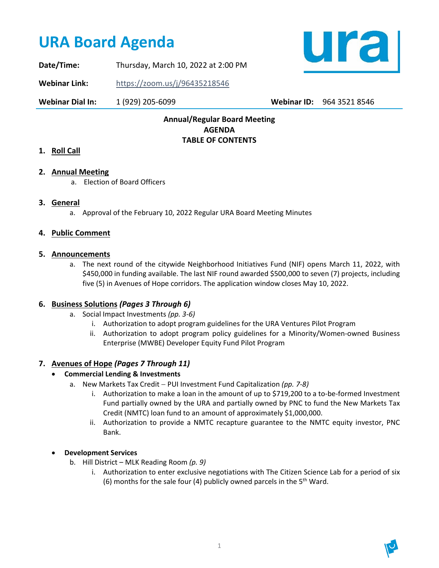# **URA Board Agenda**

ural

**Date/Time:** Thursday, March 10, 2022 at 2:00 PM

**Webinar Link:** <https://zoom.us/j/96435218546>

**Webinar Dial In:** 1 (929) 205-6099 **Webinar ID:** 964 3521 8546

## **Annual/Regular Board Meeting AGENDA TABLE OF CONTENTS**

## **1. Roll Call**

### **2. Annual Meeting**

a. Election of Board Officers

#### **3. General**

a. Approval of the February 10, 2022 Regular URA Board Meeting Minutes

#### **4. Public Comment**

#### **5. Announcements**

a. The next round of the citywide Neighborhood Initiatives Fund (NIF) opens March 11, 2022, with \$450,000 in funding available. The last NIF round awarded \$500,000 to seven (7) projects, including five (5) in Avenues of Hope corridors. The application window closes May 10, 2022.

### **6. Business Solutions** *(Pages 3 Through 6)*

- a. Social Impact Investments *(pp. 3-6)*
	- i. Authorization to adopt program guidelines for the URA Ventures Pilot Program
	- ii. Authorization to adopt program policy guidelines for a Minority/Women-owned Business Enterprise (MWBE) Developer Equity Fund Pilot Program

### **7. Avenues of Hope** *(Pages 7 Through 11)*

- **Commercial Lending & Investments**
	- a. New Markets Tax Credit − PUI Investment Fund Capitalization *(pp. 7-8)*
		- i. Authorization to make a loan in the amount of up to \$719,200 to a to-be-formed Investment Fund partially owned by the URA and partially owned by PNC to fund the New Markets Tax Credit (NMTC) loan fund to an amount of approximately \$1,000,000.
		- ii. Authorization to provide a NMTC recapture guarantee to the NMTC equity investor, PNC Bank.

### • **Development Services**

- b. Hill District MLK Reading Room *(p. 9)*
	- i. Authorization to enter exclusive negotiations with The Citizen Science Lab for a period of six (6) months for the sale four (4) publicly owned parcels in the  $5<sup>th</sup>$  Ward.

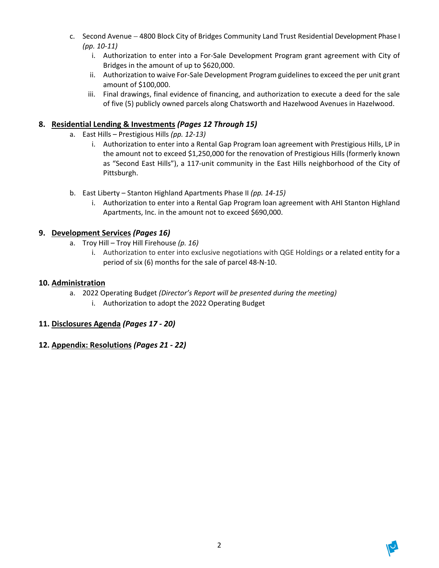- c. Second Avenue − 4800 Block City of Bridges Community Land Trust Residential Development Phase I *(pp. 10-11)*
	- i. Authorization to enter into a For-Sale Development Program grant agreement with City of Bridges in the amount of up to \$620,000.
	- ii. Authorization to waive For-Sale Development Program guidelines to exceed the per unit grant amount of \$100,000.
	- iii. Final drawings, final evidence of financing, and authorization to execute a deed for the sale of five (5) publicly owned parcels along Chatsworth and Hazelwood Avenues in Hazelwood.

## **8. Residential Lending & Investments** *(Pages 12 Through 15)*

- a. East Hills Prestigious Hills *(pp. 12-13)*
	- i. Authorization to enter into a Rental Gap Program loan agreement with Prestigious Hills, LP in the amount not to exceed \$1,250,000 for the renovation of Prestigious Hills (formerly known as "Second East Hills"), a 117-unit community in the East Hills neighborhood of the City of Pittsburgh.
- b. East Liberty Stanton Highland Apartments Phase II *(pp. 14-15)*
	- i. Authorization to enter into a Rental Gap Program loan agreement with AHI Stanton Highland Apartments, Inc. in the amount not to exceed \$690,000.

## **9. Development Services** *(Pages 16)*

- a. Troy Hill Troy Hill Firehouse *(p. 16)*
	- i. Authorization to enter into exclusive negotiations with QGE Holdings or a related entity for a period of six (6) months for the sale of parcel 48-N-10.

## **10. Administration**

- a. 2022 Operating Budget *(Director's Report will be presented during the meeting)*
	- i. Authorization to adopt the 2022 Operating Budget

## **11. Disclosures Agenda** *(Pages 17 - 20)*

## **12. Appendix: Resolutions** *(Pages 21 - 22)*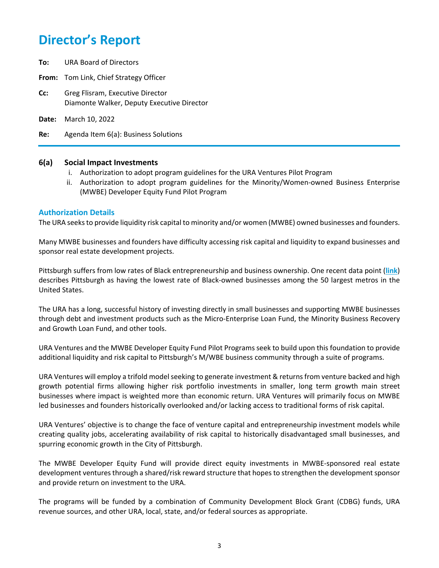- **To:** URA Board of Directors
- **From:** Tom Link, Chief Strategy Officer
- **Cc:** Greg Flisram, Executive Director Diamonte Walker, Deputy Executive Director
- **Date:** March 10, 2022

**Re:** Agenda Item 6(a): Business Solutions

#### **6(a) Social Impact Investments**

- i. Authorization to adopt program guidelines for the URA Ventures Pilot Program
- ii. Authorization to adopt program guidelines for the Minority/Women-owned Business Enterprise (MWBE) Developer Equity Fund Pilot Program

#### **Authorization Details**

The URA seeks to provide liquidity risk capital to minority and/or women (MWBE) owned businesses and founders.

Many MWBE businesses and founders have difficulty accessing risk capital and liquidity to expand businesses and sponsor real estate development projects.

Pittsburgh suffers from low rates of Black entrepreneurship and business ownership. One recent data point (**[link](https://www.lendingtree.com/business/small/black-owned-businesses-study/)**) describes Pittsburgh as having the lowest rate of Black-owned businesses among the 50 largest metros in the United States.

The URA has a long, successful history of investing directly in small businesses and supporting MWBE businesses through debt and investment products such as the Micro-Enterprise Loan Fund, the Minority Business Recovery and Growth Loan Fund, and other tools.

URA Ventures and the MWBE Developer Equity Fund Pilot Programs seek to build upon this foundation to provide additional liquidity and risk capital to Pittsburgh's M/WBE business community through a suite of programs.

URA Ventures will employ a trifold model seeking to generate investment & returns from venture backed and high growth potential firms allowing higher risk portfolio investments in smaller, long term growth main street businesses where impact is weighted more than economic return. URA Ventures will primarily focus on MWBE led businesses and founders historically overlooked and/or lacking access to traditional forms of risk capital.

URA Ventures' objective is to change the face of venture capital and entrepreneurship investment models while creating quality jobs, accelerating availability of risk capital to historically disadvantaged small businesses, and spurring economic growth in the City of Pittsburgh.

The MWBE Developer Equity Fund will provide direct equity investments in MWBE-sponsored real estate development ventures through a shared/risk reward structure that hopes to strengthen the development sponsor and provide return on investment to the URA.

The programs will be funded by a combination of Community Development Block Grant (CDBG) funds, URA revenue sources, and other URA, local, state, and/or federal sources as appropriate.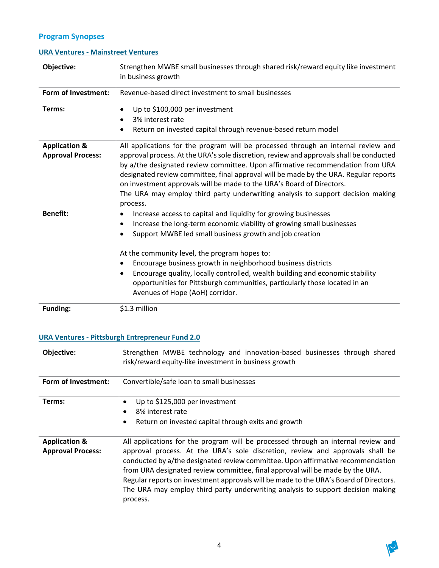## **Program Synopses**

## **URA Ventures - Mainstreet Ventures**

| Objective:                                           | Strengthen MWBE small businesses through shared risk/reward equity like investment<br>in business growth                                                                                                                                                                                                                                                                                                                                                                                                                                                   |
|------------------------------------------------------|------------------------------------------------------------------------------------------------------------------------------------------------------------------------------------------------------------------------------------------------------------------------------------------------------------------------------------------------------------------------------------------------------------------------------------------------------------------------------------------------------------------------------------------------------------|
| Form of Investment:                                  | Revenue-based direct investment to small businesses                                                                                                                                                                                                                                                                                                                                                                                                                                                                                                        |
| Terms:                                               | Up to \$100,000 per investment<br>$\bullet$<br>3% interest rate<br>$\bullet$<br>Return on invested capital through revenue-based return model<br>٠                                                                                                                                                                                                                                                                                                                                                                                                         |
| <b>Application &amp;</b><br><b>Approval Process:</b> | All applications for the program will be processed through an internal review and<br>approval process. At the URA's sole discretion, review and approvals shall be conducted<br>by a/the designated review committee. Upon affirmative recommendation from URA<br>designated review committee, final approval will be made by the URA. Regular reports<br>on investment approvals will be made to the URA's Board of Directors.<br>The URA may employ third party underwriting analysis to support decision making<br>process.                             |
| <b>Benefit:</b>                                      | Increase access to capital and liquidity for growing businesses<br>٠<br>Increase the long-term economic viability of growing small businesses<br>٠<br>Support MWBE led small business growth and job creation<br>At the community level, the program hopes to:<br>Encourage business growth in neighborhood business districts<br>$\bullet$<br>Encourage quality, locally controlled, wealth building and economic stability<br>$\bullet$<br>opportunities for Pittsburgh communities, particularly those located in an<br>Avenues of Hope (AoH) corridor. |
| <b>Funding:</b>                                      | \$1.3 million                                                                                                                                                                                                                                                                                                                                                                                                                                                                                                                                              |

## **URA Ventures - Pittsburgh Entrepreneur Fund 2.0**

| Objective:                                           | Strengthen MWBE technology and innovation-based businesses through shared<br>risk/reward equity-like investment in business growth                                                                                                                                                                                                                                                                                                                                                                                             |
|------------------------------------------------------|--------------------------------------------------------------------------------------------------------------------------------------------------------------------------------------------------------------------------------------------------------------------------------------------------------------------------------------------------------------------------------------------------------------------------------------------------------------------------------------------------------------------------------|
| Form of Investment:                                  | Convertible/safe loan to small businesses                                                                                                                                                                                                                                                                                                                                                                                                                                                                                      |
| Terms:                                               | Up to \$125,000 per investment<br>٠<br>8% interest rate<br>٠<br>Return on invested capital through exits and growth<br>٠                                                                                                                                                                                                                                                                                                                                                                                                       |
| <b>Application &amp;</b><br><b>Approval Process:</b> | All applications for the program will be processed through an internal review and<br>approval process. At the URA's sole discretion, review and approvals shall be<br>conducted by a/the designated review committee. Upon affirmative recommendation<br>from URA designated review committee, final approval will be made by the URA.<br>Regular reports on investment approvals will be made to the URA's Board of Directors.<br>The URA may employ third party underwriting analysis to support decision making<br>process. |

Ø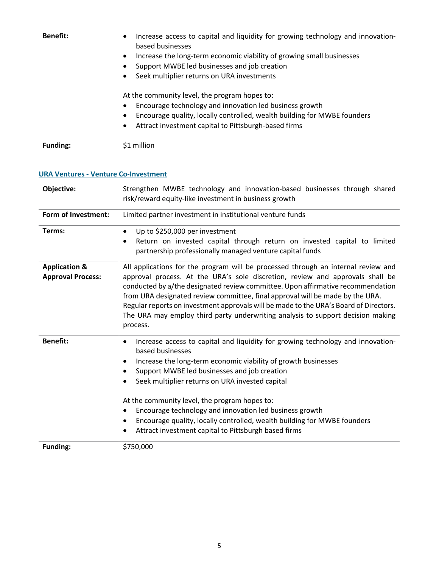| <b>Benefit:</b> | Increase access to capital and liquidity for growing technology and innovation-<br>$\bullet$<br>based businesses<br>Increase the long-term economic viability of growing small businesses<br>$\bullet$<br>Support MWBE led businesses and job creation<br>Seek multiplier returns on URA investments<br>At the community level, the program hopes to:<br>Encourage technology and innovation led business growth<br>$\bullet$<br>Encourage quality, locally controlled, wealth building for MWBE founders<br>$\bullet$<br>Attract investment capital to Pittsburgh-based firms<br>$\bullet$ |
|-----------------|---------------------------------------------------------------------------------------------------------------------------------------------------------------------------------------------------------------------------------------------------------------------------------------------------------------------------------------------------------------------------------------------------------------------------------------------------------------------------------------------------------------------------------------------------------------------------------------------|
| Funding:        | \$1 million                                                                                                                                                                                                                                                                                                                                                                                                                                                                                                                                                                                 |

## **URA Ventures - Venture Co-Investment**

| Objective:                                           | Strengthen MWBE technology and innovation-based businesses through shared<br>risk/reward equity-like investment in business growth                                                                                                                                                                                                                                                                                                                                                                                                                                  |  |  |
|------------------------------------------------------|---------------------------------------------------------------------------------------------------------------------------------------------------------------------------------------------------------------------------------------------------------------------------------------------------------------------------------------------------------------------------------------------------------------------------------------------------------------------------------------------------------------------------------------------------------------------|--|--|
| Form of Investment:                                  | Limited partner investment in institutional venture funds                                                                                                                                                                                                                                                                                                                                                                                                                                                                                                           |  |  |
| Terms:                                               | Up to \$250,000 per investment<br>$\bullet$<br>Return on invested capital through return on invested capital to limited<br>$\bullet$<br>partnership professionally managed venture capital funds                                                                                                                                                                                                                                                                                                                                                                    |  |  |
| <b>Application &amp;</b><br><b>Approval Process:</b> | All applications for the program will be processed through an internal review and<br>approval process. At the URA's sole discretion, review and approvals shall be<br>conducted by a/the designated review committee. Upon affirmative recommendation<br>from URA designated review committee, final approval will be made by the URA.<br>Regular reports on investment approvals will be made to the URA's Board of Directors.<br>The URA may employ third party underwriting analysis to support decision making<br>process.                                      |  |  |
| <b>Benefit:</b>                                      | Increase access to capital and liquidity for growing technology and innovation-<br>٠<br>based businesses<br>Increase the long-term economic viability of growth businesses<br>٠<br>Support MWBE led businesses and job creation<br>٠<br>Seek multiplier returns on URA invested capital<br>٠<br>At the community level, the program hopes to:<br>Encourage technology and innovation led business growth<br>٠<br>Encourage quality, locally controlled, wealth building for MWBE founders<br>$\bullet$<br>Attract investment capital to Pittsburgh based firms<br>٠ |  |  |
| <b>Funding:</b>                                      | \$750,000                                                                                                                                                                                                                                                                                                                                                                                                                                                                                                                                                           |  |  |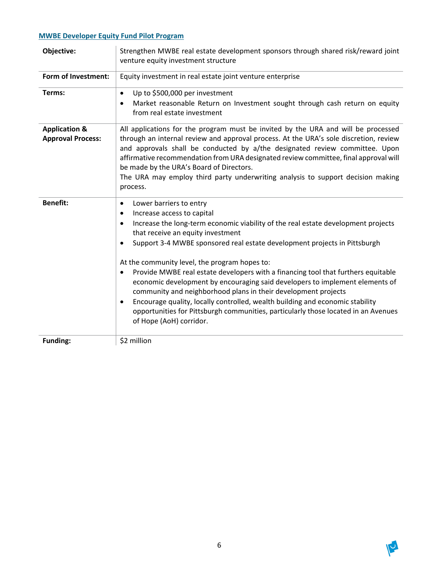## **MWBE Developer Equity Fund Pilot Program**

| Objective:                                           | Strengthen MWBE real estate development sponsors through shared risk/reward joint<br>venture equity investment structure                                                                                                                                                                                                                                                                                                                                                                                                                                                                                                                                                                                                                                                                                                |  |  |
|------------------------------------------------------|-------------------------------------------------------------------------------------------------------------------------------------------------------------------------------------------------------------------------------------------------------------------------------------------------------------------------------------------------------------------------------------------------------------------------------------------------------------------------------------------------------------------------------------------------------------------------------------------------------------------------------------------------------------------------------------------------------------------------------------------------------------------------------------------------------------------------|--|--|
| Form of Investment:                                  | Equity investment in real estate joint venture enterprise                                                                                                                                                                                                                                                                                                                                                                                                                                                                                                                                                                                                                                                                                                                                                               |  |  |
| Terms:                                               | Up to \$500,000 per investment<br>$\bullet$<br>Market reasonable Return on Investment sought through cash return on equity<br>$\bullet$<br>from real estate investment                                                                                                                                                                                                                                                                                                                                                                                                                                                                                                                                                                                                                                                  |  |  |
| <b>Application &amp;</b><br><b>Approval Process:</b> | All applications for the program must be invited by the URA and will be processed<br>through an internal review and approval process. At the URA's sole discretion, review<br>and approvals shall be conducted by a/the designated review committee. Upon<br>affirmative recommendation from URA designated review committee, final approval will<br>be made by the URA's Board of Directors.<br>The URA may employ third party underwriting analysis to support decision making<br>process.                                                                                                                                                                                                                                                                                                                            |  |  |
| <b>Benefit:</b>                                      | Lower barriers to entry<br>$\bullet$<br>Increase access to capital<br>$\bullet$<br>Increase the long-term economic viability of the real estate development projects<br>$\bullet$<br>that receive an equity investment<br>Support 3-4 MWBE sponsored real estate development projects in Pittsburgh<br>$\bullet$<br>At the community level, the program hopes to:<br>Provide MWBE real estate developers with a financing tool that furthers equitable<br>$\bullet$<br>economic development by encouraging said developers to implement elements of<br>community and neighborhood plans in their development projects<br>Encourage quality, locally controlled, wealth building and economic stability<br>opportunities for Pittsburgh communities, particularly those located in an Avenues<br>of Hope (AoH) corridor. |  |  |
| Funding:                                             | \$2 million                                                                                                                                                                                                                                                                                                                                                                                                                                                                                                                                                                                                                                                                                                                                                                                                             |  |  |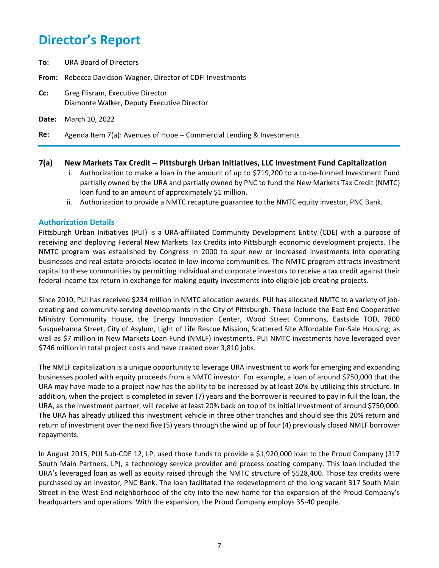**To:** URA Board of Directors

**From:** Rebecca Davidson-Wagner, Director of CDFI Investments

- **Cc:** Greg Flisram, Executive Director Diamonte Walker, Deputy Executive Director
- **Date:** March 10, 2022

**Re:** Agenda Item 7(a): Avenues of Hope − Commercial Lending & Investments

#### **7(a) New Markets Tax Credit** − **Pittsburgh Urban Initiatives, LLC Investment Fund Capitalization**

- i. Authorization to make a loan in the amount of up to \$719,200 to a to-be-formed Investment Fund partially owned by the URA and partially owned by PNC to fund the New Markets Tax Credit (NMTC) loan fund to an amount of approximately \$1 million.
- ii. Authorization to provide a NMTC recapture guarantee to the NMTC equity investor, PNC Bank.

#### **Authorization Details**

Pittsburgh Urban Initiatives (PUI) is a URA-affiliated Community Development Entity (CDE) with a purpose of receiving and deploying Federal New Markets Tax Credits into Pittsburgh economic development projects. The NMTC program was established by Congress in 2000 to spur new or increased investments into operating businesses and real estate projects located in low-income communities. The NMTC program attracts investment capital to these communities by permitting individual and corporate investors to receive a tax credit against their federal income tax return in exchange for making equity investments into eligible job creating projects.

Since 2010, PUI has received \$234 million in NMTC allocation awards. PUI has allocated NMTC to a variety of jobcreating and community-serving developments in the City of Pittsburgh. These include the East End Cooperative Ministry Community House, the Energy Innovation Center, Wood Street Commons, Eastside TOD, 7800 Susquehanna Street, City of Asylum, Light of Life Rescue Mission, Scattered Site Affordable For-Sale Housing; as well as \$7 million in New Markets Loan Fund (NMLF) investments. PUI NMTC investments have leveraged over \$746 million in total project costs and have created over 3,810 jobs.

The NMLF capitalization is a unique opportunity to leverage URA investment to work for emerging and expanding businesses pooled with equity proceeds from a NMTC investor. For example, a loan of around \$750,000 that the URA may have made to a project now has the ability to be increased by at least 20% by utilizing this structure. In addition, when the project is completed in seven (7) years and the borrower is required to pay in full the loan, the URA, as the investment partner, will receive at least 20% back on top of its initial investment of around \$750,000. The URA has already utilized this investment vehicle in three other tranches and should see this 20% return and return of investment over the next five (5) years through the wind up of four (4) previously closed NMLF borrower repayments.

In August 2015, PUI Sub-CDE 12, LP, used those funds to provide a \$1,920,000 loan to the Proud Company (317 South Main Partners, LP), a technology service provider and process coating company. This loan included the URA's leveraged loan as well as equity raised through the NMTC structure of \$528,400. Those tax credits were purchased by an investor, PNC Bank. The loan facilitated the redevelopment of the long vacant 317 South Main Street in the West End neighborhood of the city into the new home for the expansion of the Proud Company's headquarters and operations. With the expansion, the Proud Company employs 35-40 people.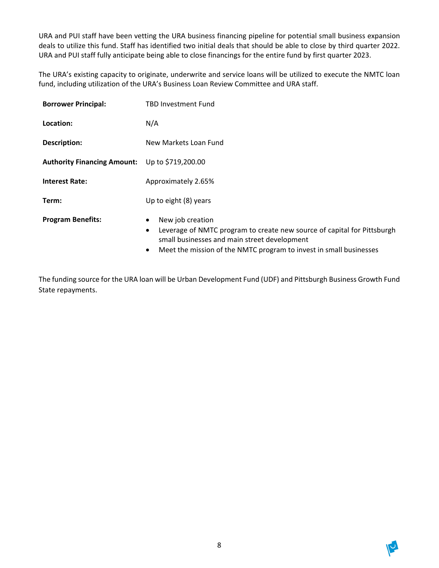URA and PUI staff have been vetting the URA business financing pipeline for potential small business expansion deals to utilize this fund. Staff has identified two initial deals that should be able to close by third quarter 2022. URA and PUI staff fully anticipate being able to close financings for the entire fund by first quarter 2023.

The URA's existing capacity to originate, underwrite and service loans will be utilized to execute the NMTC loan fund, including utilization of the URA's Business Loan Review Committee and URA staff.

| <b>Borrower Principal:</b>                     | TBD Investment Fund                                                                                                                                                                                                                      |  |
|------------------------------------------------|------------------------------------------------------------------------------------------------------------------------------------------------------------------------------------------------------------------------------------------|--|
| Location:                                      | N/A                                                                                                                                                                                                                                      |  |
| <b>Description:</b>                            | New Markets Loan Fund                                                                                                                                                                                                                    |  |
| Authority Financing Amount: Up to \$719,200.00 |                                                                                                                                                                                                                                          |  |
| <b>Interest Rate:</b>                          | Approximately 2.65%                                                                                                                                                                                                                      |  |
| Term:                                          | Up to eight (8) years                                                                                                                                                                                                                    |  |
| <b>Program Benefits:</b>                       | New job creation<br>٠<br>Leverage of NMTC program to create new source of capital for Pittsburgh<br>٠<br>small businesses and main street development<br>Meet the mission of the NMTC program to invest in small businesses<br>$\bullet$ |  |

The funding source for the URA loan will be Urban Development Fund (UDF) and Pittsburgh Business Growth Fund State repayments.

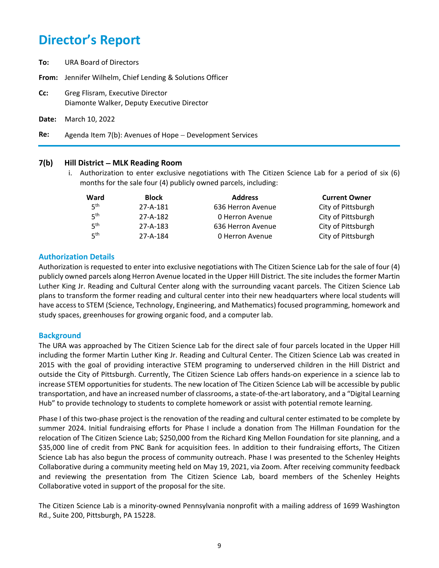**To:** URA Board of Directors **From:** Jennifer Wilhelm, Chief Lending & Solutions Officer **Cc:** Greg Flisram, Executive Director Diamonte Walker, Deputy Executive Director **Date:** March 10, 2022 **Re:** Agenda Item 7(b): Avenues of Hope − Development Services

#### **7(b) Hill District** − **MLK Reading Room**

i. Authorization to enter exclusive negotiations with The Citizen Science Lab for a period of six (6) months for the sale four (4) publicly owned parcels, including:

| Ward            | <b>Block</b> | <b>Address</b>    | <b>Current Owner</b> |
|-----------------|--------------|-------------------|----------------------|
| 5 <sup>th</sup> | 27-A-181     | 636 Herron Avenue | City of Pittsburgh   |
| $5^{\text{th}}$ | 27-A-182     | 0 Herron Avenue   | City of Pittsburgh   |
| 5 <sup>th</sup> | 27-A-183     | 636 Herron Avenue | City of Pittsburgh   |
| 5 <sup>th</sup> | 27-A-184     | 0 Herron Avenue   | City of Pittsburgh   |

### **Authorization Details**

Authorization is requested to enter into exclusive negotiations with The Citizen Science Lab for the sale of four (4) publicly owned parcels along Herron Avenue located in the Upper Hill District. The site includes the former Martin Luther King Jr. Reading and Cultural Center along with the surrounding vacant parcels. The Citizen Science Lab plans to transform the former reading and cultural center into their new headquarters where local students will have access to STEM (Science, Technology, Engineering, and Mathematics) focused programming, homework and study spaces, greenhouses for growing organic food, and a computer lab.

#### **Background**

The URA was approached by The Citizen Science Lab for the direct sale of four parcels located in the Upper Hill including the former Martin Luther King Jr. Reading and Cultural Center. The Citizen Science Lab was created in 2015 with the goal of providing interactive STEM programing to underserved children in the Hill District and outside the City of Pittsburgh. Currently, The Citizen Science Lab offers hands-on experience in a science lab to increase STEM opportunities for students. The new location of The Citizen Science Lab will be accessible by public transportation, and have an increased number of classrooms, a state-of-the-art laboratory, and a "Digital Learning Hub" to provide technology to students to complete homework or assist with potential remote learning.

Phase I of this two-phase project is the renovation of the reading and cultural center estimated to be complete by summer 2024. Initial fundraising efforts for Phase I include a donation from The Hillman Foundation for the relocation of The Citizen Science Lab; \$250,000 from the Richard King Mellon Foundation for site planning, and a \$35,000 line of credit from PNC Bank for acquisition fees. In addition to their fundraising efforts, The Citizen Science Lab has also begun the process of community outreach. Phase I was presented to the Schenley Heights Collaborative during a community meeting held on May 19, 2021, via Zoom. After receiving community feedback and reviewing the presentation from The Citizen Science Lab, board members of the Schenley Heights Collaborative voted in support of the proposal for the site.

The Citizen Science Lab is a minority-owned Pennsylvania nonprofit with a mailing address of 1699 Washington Rd., Suite 200, Pittsburgh, PA 15228.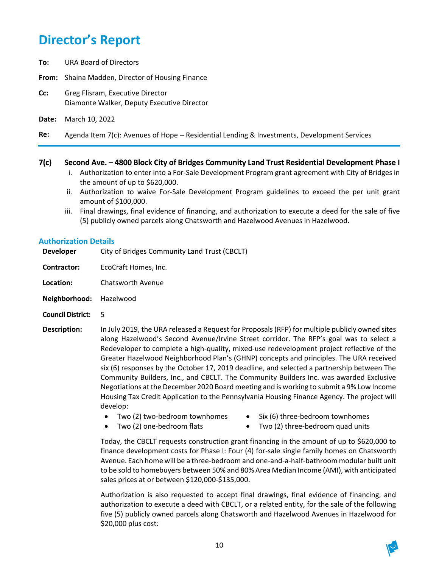- **To:** URA Board of Directors
- **From:** Shaina Madden, Director of Housing Finance
- **Cc:** Greg Flisram, Executive Director Diamonte Walker, Deputy Executive Director
- **Date:** March 10, 2022
- **Re:** Agenda Item 7(c): Avenues of Hope − Residential Lending & Investments, Development Services

#### **7(c) Second Ave. – 4800 Block City of Bridges Community Land Trust Residential Development Phase I**

- i. Authorization to enter into a For-Sale Development Program grant agreement with City of Bridges in the amount of up to \$620,000.
- ii. Authorization to waive For-Sale Development Program guidelines to exceed the per unit grant amount of \$100,000.
- iii. Final drawings, final evidence of financing, and authorization to execute a deed for the sale of five (5) publicly owned parcels along Chatsworth and Hazelwood Avenues in Hazelwood.

#### **Authorization Details**

**Developer** City of Bridges Community Land Trust (CBCLT)

**Contractor:** EcoCraft Homes, Inc.

- **Location:** Chatsworth Avenue
- **Neighborhood:** Hazelwood
- **Council District:** 5
- **Description:** In July 2019, the URA released a Request for Proposals (RFP) for multiple publicly owned sites along Hazelwood's Second Avenue/Irvine Street corridor. The RFP's goal was to select a Redeveloper to complete a high-quality, mixed-use redevelopment project reflective of the Greater Hazelwood Neighborhood Plan's (GHNP) concepts and principles. The URA received six (6) responses by the October 17, 2019 deadline, and selected a partnership between The Community Builders, Inc., and CBCLT. The Community Builders Inc. was awarded Exclusive Negotiations at the December 2020 Board meeting and is working to submit a 9% Low Income Housing Tax Credit Application to the Pennsylvania Housing Finance Agency. The project will develop:
	- Two (2) two-bedroom townhomes Six (6) three-bedroom townhomes
		-
	-
	- Two (2) one-bedroom flats Two (2) three-bedroom quad units

Today, the CBCLT requests construction grant financing in the amount of up to \$620,000 to finance development costs for Phase I: Four (4) for-sale single family homes on Chatsworth Avenue. Each home will be a three-bedroom and one-and-a-half-bathroom modular built unit to be sold to homebuyers between 50% and 80% Area Median Income (AMI), with anticipated sales prices at or between \$120,000-\$135,000.

Authorization is also requested to accept final drawings, final evidence of financing, and authorization to execute a deed with CBCLT, or a related entity, for the sale of the following five (5) publicly owned parcels along Chatsworth and Hazelwood Avenues in Hazelwood for \$20,000 plus cost:

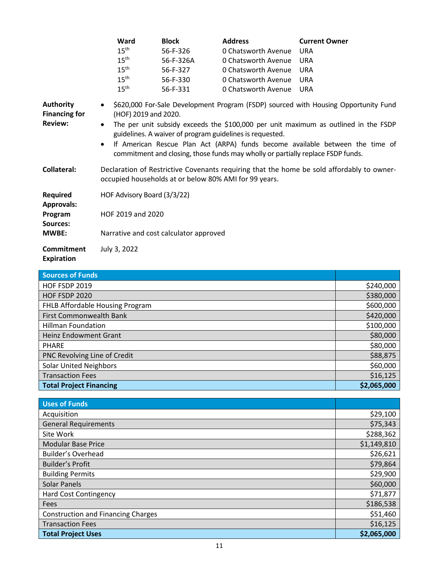|                                                            | Ward                                                                                                                                                                                                                                                                                                                                                                                                                                                           | <b>Block</b>                           | <b>Address</b>      | <b>Current Owner</b> |
|------------------------------------------------------------|----------------------------------------------------------------------------------------------------------------------------------------------------------------------------------------------------------------------------------------------------------------------------------------------------------------------------------------------------------------------------------------------------------------------------------------------------------------|----------------------------------------|---------------------|----------------------|
|                                                            | 15 <sup>th</sup>                                                                                                                                                                                                                                                                                                                                                                                                                                               | 56-F-326                               | 0 Chatsworth Avenue | <b>URA</b>           |
|                                                            | $15^{\text{th}}$                                                                                                                                                                                                                                                                                                                                                                                                                                               | 56-F-326A                              | 0 Chatsworth Avenue | <b>URA</b>           |
|                                                            | $15^{\text{th}}$                                                                                                                                                                                                                                                                                                                                                                                                                                               | 56-F-327                               | 0 Chatsworth Avenue | <b>URA</b>           |
|                                                            | $15^{\text{th}}$                                                                                                                                                                                                                                                                                                                                                                                                                                               | 56-F-330                               | 0 Chatsworth Avenue | URA                  |
|                                                            | 15 <sup>th</sup>                                                                                                                                                                                                                                                                                                                                                                                                                                               | 56-F-331                               | 0 Chatsworth Avenue | <b>URA</b>           |
| <b>Authority</b><br><b>Financing for</b><br><b>Review:</b> | • \$620,000 For-Sale Development Program (FSDP) sourced with Housing Opportunity Fund<br>(HOF) 2019 and 2020.<br>The per unit subsidy exceeds the \$100,000 per unit maximum as outlined in the FSDP<br>$\bullet$<br>guidelines. A waiver of program guidelines is requested.<br>If American Rescue Plan Act (ARPA) funds become available between the time of<br>$\bullet$<br>commitment and closing, those funds may wholly or partially replace FSDP funds. |                                        |                     |                      |
| <b>Collateral:</b>                                         | Declaration of Restrictive Covenants requiring that the home be sold affordably to owner-<br>occupied households at or below 80% AMI for 99 years.                                                                                                                                                                                                                                                                                                             |                                        |                     |                      |
| <b>Required</b><br><b>Approvals:</b>                       | HOF Advisory Board (3/3/22)                                                                                                                                                                                                                                                                                                                                                                                                                                    |                                        |                     |                      |
| Program<br>Sources:                                        | HOF 2019 and 2020                                                                                                                                                                                                                                                                                                                                                                                                                                              |                                        |                     |                      |
| <b>MWBE:</b>                                               |                                                                                                                                                                                                                                                                                                                                                                                                                                                                | Narrative and cost calculator approved |                     |                      |
| <b>Commitment</b><br>.                                     | July 3, 2022                                                                                                                                                                                                                                                                                                                                                                                                                                                   |                                        |                     |                      |

## **Expiration**

| <b>Sources of Funds</b>         |             |
|---------------------------------|-------------|
| <b>HOF FSDP 2019</b>            | \$240,000   |
| <b>HOF FSDP 2020</b>            | \$380,000   |
| FHLB Affordable Housing Program | \$600,000   |
| <b>First Commonwealth Bank</b>  | \$420,000   |
| <b>Hillman Foundation</b>       | \$100,000   |
| <b>Heinz Endowment Grant</b>    | \$80,000    |
| <b>PHARE</b>                    | \$80,000    |
| PNC Revolving Line of Credit    | \$88,875    |
| <b>Solar United Neighbors</b>   | \$60,000    |
| <b>Transaction Fees</b>         | \$16,125    |
| <b>Total Project Financing</b>  | \$2,065,000 |

| Uses of Funds                             |             |
|-------------------------------------------|-------------|
| Acquisition                               | \$29,100    |
| <b>General Requirements</b>               | \$75,343    |
| Site Work                                 | \$288,362   |
| <b>Modular Base Price</b>                 | \$1,149,810 |
| <b>Builder's Overhead</b>                 | \$26,621    |
| <b>Builder's Profit</b>                   | \$79,864    |
| <b>Building Permits</b>                   | \$29,900    |
| <b>Solar Panels</b>                       | \$60,000    |
| <b>Hard Cost Contingency</b>              | \$71,877    |
| Fees                                      | \$186,538   |
| <b>Construction and Financing Charges</b> | \$51,460    |
| <b>Transaction Fees</b>                   | \$16,125    |
| <b>Total Project Uses</b>                 | \$2,065,000 |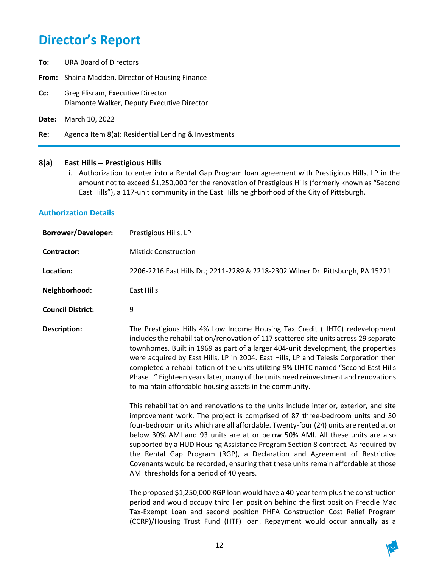- **To:** URA Board of Directors
- **From:** Shaina Madden, Director of Housing Finance
- **Cc:** Greg Flisram, Executive Director Diamonte Walker, Deputy Executive Director
- **Date:** March 10, 2022
- **Re:** Agenda Item 8(a): Residential Lending & Investments

#### **8(a) East Hills** − **Prestigious Hills**

i. Authorization to enter into a Rental Gap Program loan agreement with Prestigious Hills, LP in the amount not to exceed \$1,250,000 for the renovation of Prestigious Hills (formerly known as "Second East Hills"), a 117-unit community in the East Hills neighborhood of the City of Pittsburgh.

#### **Authorization Details**

| <b>Mistick Construction</b>                                                                                                                                                                                                                                                                                                                                                                                                                                                                                                                                                                                                                                                                                                                                                                                                                                                                                                                                                       |
|-----------------------------------------------------------------------------------------------------------------------------------------------------------------------------------------------------------------------------------------------------------------------------------------------------------------------------------------------------------------------------------------------------------------------------------------------------------------------------------------------------------------------------------------------------------------------------------------------------------------------------------------------------------------------------------------------------------------------------------------------------------------------------------------------------------------------------------------------------------------------------------------------------------------------------------------------------------------------------------|
|                                                                                                                                                                                                                                                                                                                                                                                                                                                                                                                                                                                                                                                                                                                                                                                                                                                                                                                                                                                   |
| 2206-2216 East Hills Dr.; 2211-2289 & 2218-2302 Wilner Dr. Pittsburgh, PA 15221                                                                                                                                                                                                                                                                                                                                                                                                                                                                                                                                                                                                                                                                                                                                                                                                                                                                                                   |
| <b>East Hills</b>                                                                                                                                                                                                                                                                                                                                                                                                                                                                                                                                                                                                                                                                                                                                                                                                                                                                                                                                                                 |
|                                                                                                                                                                                                                                                                                                                                                                                                                                                                                                                                                                                                                                                                                                                                                                                                                                                                                                                                                                                   |
| The Prestigious Hills 4% Low Income Housing Tax Credit (LIHTC) redevelopment<br>includes the rehabilitation/renovation of 117 scattered site units across 29 separate<br>townhomes. Built in 1969 as part of a larger 404-unit development, the properties<br>were acquired by East Hills, LP in 2004. East Hills, LP and Telesis Corporation then<br>completed a rehabilitation of the units utilizing 9% LIHTC named "Second East Hills<br>Phase I." Eighteen years later, many of the units need reinvestment and renovations<br>to maintain affordable housing assets in the community.                                                                                                                                                                                                                                                                                                                                                                                       |
| This rehabilitation and renovations to the units include interior, exterior, and site<br>improvement work. The project is comprised of 87 three-bedroom units and 30<br>four-bedroom units which are all affordable. Twenty-four (24) units are rented at or<br>below 30% AMI and 93 units are at or below 50% AMI. All these units are also<br>supported by a HUD Housing Assistance Program Section 8 contract. As required by<br>the Rental Gap Program (RGP), a Declaration and Agreement of Restrictive<br>Covenants would be recorded, ensuring that these units remain affordable at those<br>AMI thresholds for a period of 40 years.<br>The proposed \$1,250,000 RGP loan would have a 40-year term plus the construction<br>period and would occupy third lien position behind the first position Freddie Mac<br>Tax-Exempt Loan and second position PHFA Construction Cost Relief Program<br>(CCRP)/Housing Trust Fund (HTF) loan. Repayment would occur annually as a |
|                                                                                                                                                                                                                                                                                                                                                                                                                                                                                                                                                                                                                                                                                                                                                                                                                                                                                                                                                                                   |

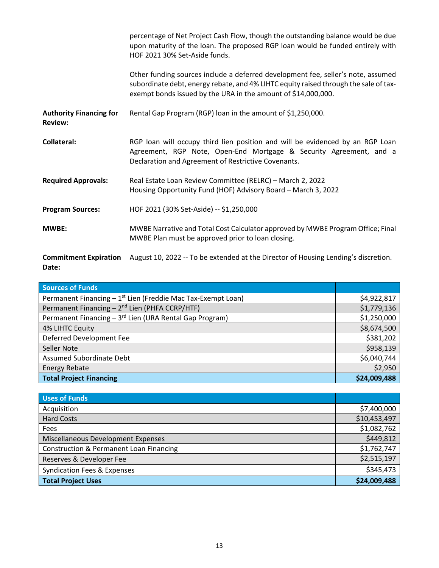|                                                  | percentage of Net Project Cash Flow, though the outstanding balance would be due<br>upon maturity of the loan. The proposed RGP loan would be funded entirely with<br>HOF 2021 30% Set-Aside funds.                                       |
|--------------------------------------------------|-------------------------------------------------------------------------------------------------------------------------------------------------------------------------------------------------------------------------------------------|
|                                                  | Other funding sources include a deferred development fee, seller's note, assumed<br>subordinate debt, energy rebate, and 4% LIHTC equity raised through the sale of tax-<br>exempt bonds issued by the URA in the amount of \$14,000,000. |
| <b>Authority Financing for</b><br><b>Review:</b> | Rental Gap Program (RGP) loan in the amount of \$1,250,000.                                                                                                                                                                               |
| <b>Collateral:</b>                               | RGP loan will occupy third lien position and will be evidenced by an RGP Loan<br>Agreement, RGP Note, Open-End Mortgage & Security Agreement, and a<br>Declaration and Agreement of Restrictive Covenants.                                |
| <b>Required Approvals:</b>                       | Real Estate Loan Review Committee (RELRC) - March 2, 2022<br>Housing Opportunity Fund (HOF) Advisory Board - March 3, 2022                                                                                                                |
| <b>Program Sources:</b>                          | HOF 2021 (30% Set-Aside) -- \$1,250,000                                                                                                                                                                                                   |
| <b>MWBE:</b>                                     | MWBE Narrative and Total Cost Calculator approved by MWBE Program Office; Final<br>MWBE Plan must be approved prior to loan closing.                                                                                                      |
| <b>Commitment Expiration</b><br>Date:            | August 10, 2022 -- To be extended at the Director of Housing Lending's discretion.                                                                                                                                                        |

| <b>Sources of Funds</b>                                             |              |
|---------------------------------------------------------------------|--------------|
| Permanent Financing $-1^{st}$ Lien (Freddie Mac Tax-Exempt Loan)    | \$4,922,817  |
| Permanent Financing - 2 <sup>nd</sup> Lien (PHFA CCRP/HTF)          | \$1,779,136  |
| Permanent Financing - 3 <sup>rd</sup> Lien (URA Rental Gap Program) | \$1,250,000  |
| 4% LIHTC Equity                                                     | \$8,674,500  |
| Deferred Development Fee                                            | \$381,202    |
| Seller Note                                                         | \$958,139    |
| <b>Assumed Subordinate Debt</b>                                     | \$6,040,744  |
| <b>Energy Rebate</b>                                                | \$2,950      |
| <b>Total Project Financing</b>                                      | \$24,009,488 |

| Uses of Funds                                      |              |
|----------------------------------------------------|--------------|
| Acquisition                                        | \$7,400,000  |
| <b>Hard Costs</b>                                  | \$10,453,497 |
| Fees                                               | \$1,082,762  |
| Miscellaneous Development Expenses                 | \$449,812    |
| <b>Construction &amp; Permanent Loan Financing</b> | \$1,762,747  |
| Reserves & Developer Fee                           | \$2,515,197  |
| <b>Syndication Fees &amp; Expenses</b>             | \$345,473    |
| <b>Total Project Uses</b>                          | \$24,009,488 |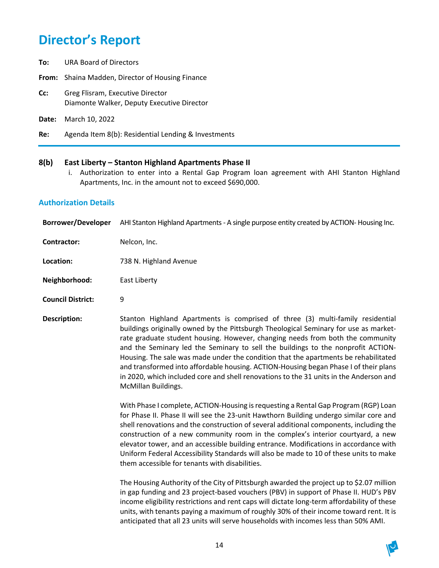- **To:** URA Board of Directors
- **From:** Shaina Madden, Director of Housing Finance
- **Cc:** Greg Flisram, Executive Director Diamonte Walker, Deputy Executive Director
- **Date:** March 10, 2022
- **Re:** Agenda Item 8(b): Residential Lending & Investments

#### **8(b) East Liberty – Stanton Highland Apartments Phase II**

i. Authorization to enter into a Rental Gap Program loan agreement with AHI Stanton Highland Apartments, Inc. in the amount not to exceed \$690,000.

#### **Authorization Details**

- **Borrower/Developer** AHI Stanton Highland Apartments- A single purpose entity created by ACTION- Housing Inc.
- **Contractor:** Nelcon, Inc.
- **Location:** 738 N. Highland Avenue
- **Neighborhood:** East Liberty
- **Council District:** 9
- **Description:** Stanton Highland Apartments is comprised of three (3) multi-family residential buildings originally owned by the Pittsburgh Theological Seminary for use as marketrate graduate student housing. However, changing needs from both the community and the Seminary led the Seminary to sell the buildings to the nonprofit ACTION-Housing. The sale was made under the condition that the apartments be rehabilitated and transformed into affordable housing. ACTION-Housing began Phase I of their plans in 2020, which included core and shell renovations to the 31 units in the Anderson and McMillan Buildings.

With Phase I complete, ACTION-Housing is requesting a Rental Gap Program (RGP) Loan for Phase II. Phase II will see the 23-unit Hawthorn Building undergo similar core and shell renovations and the construction of several additional components, including the construction of a new community room in the complex's interior courtyard, a new elevator tower, and an accessible building entrance. Modifications in accordance with Uniform Federal Accessibility Standards will also be made to 10 of these units to make them accessible for tenants with disabilities.

The Housing Authority of the City of Pittsburgh awarded the project up to \$2.07 million in gap funding and 23 project-based vouchers (PBV) in support of Phase II. HUD's PBV income eligibility restrictions and rent caps will dictate long-term affordability of these units, with tenants paying a maximum of roughly 30% of their income toward rent. It is anticipated that all 23 units will serve households with incomes less than 50% AMI.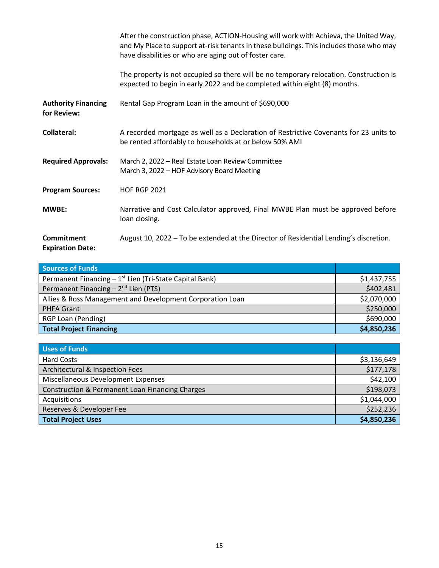|                                              | After the construction phase, ACTION-Housing will work with Achieva, the United Way,<br>and My Place to support at-risk tenants in these buildings. This includes those who may<br>have disabilities or who are aging out of foster care. |
|----------------------------------------------|-------------------------------------------------------------------------------------------------------------------------------------------------------------------------------------------------------------------------------------------|
|                                              | The property is not occupied so there will be no temporary relocation. Construction is<br>expected to begin in early 2022 and be completed within eight (8) months.                                                                       |
| <b>Authority Financing</b><br>for Review:    | Rental Gap Program Loan in the amount of \$690,000                                                                                                                                                                                        |
| Collateral:                                  | A recorded mortgage as well as a Declaration of Restrictive Covenants for 23 units to<br>be rented affordably to households at or below 50% AMI                                                                                           |
| <b>Required Approvals:</b>                   | March 2, 2022 - Real Estate Loan Review Committee<br>March 3, 2022 - HOF Advisory Board Meeting                                                                                                                                           |
| <b>Program Sources:</b>                      | <b>HOF RGP 2021</b>                                                                                                                                                                                                                       |
| <b>MWBE:</b>                                 | Narrative and Cost Calculator approved, Final MWBE Plan must be approved before<br>loan closing.                                                                                                                                          |
| <b>Commitment</b><br><b>Expiration Date:</b> | August 10, 2022 - To be extended at the Director of Residential Lending's discretion.                                                                                                                                                     |

| <b>Sources of Funds</b>                                     |             |
|-------------------------------------------------------------|-------------|
| Permanent Financing $-1^{st}$ Lien (Tri-State Capital Bank) | \$1,437,755 |
| Permanent Financing $-2^{nd}$ Lien (PTS)                    | \$402,481   |
| Allies & Ross Management and Development Corporation Loan   | \$2,070,000 |
| <b>PHFA Grant</b>                                           | \$250,000   |
| RGP Loan (Pending)                                          | \$690,000   |
| <b>Total Project Financing</b>                              | \$4,850,236 |

| Uses of Funds                                              |             |
|------------------------------------------------------------|-------------|
| <b>Hard Costs</b>                                          | \$3,136,649 |
| Architectural & Inspection Fees                            | \$177,178   |
| Miscellaneous Development Expenses                         | \$42,100    |
| <b>Construction &amp; Permanent Loan Financing Charges</b> | \$198,073   |
| Acquisitions                                               | \$1,044,000 |
| Reserves & Developer Fee                                   | \$252,236   |
| <b>Total Project Uses</b>                                  | \$4,850,236 |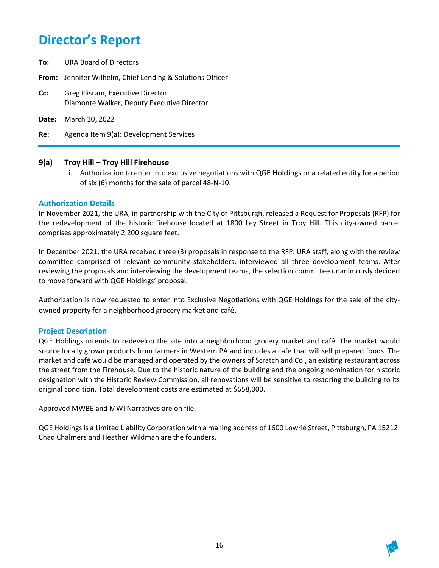**To:** URA Board of Directors

**From:** Jennifer Wilhelm, Chief Lending & Solutions Officer

- **Cc:** Greg Flisram, Executive Director Diamonte Walker, Deputy Executive Director
- **Date:** March 10, 2022

**Re:** Agenda Item 9(a): Development Services

#### **9(a) Troy Hill – Troy Hill Firehouse**

i. Authorization to enter into exclusive negotiations with QGE Holdings or a related entity for a period of six (6) months for the sale of parcel 48-N-10.

#### **Authorization Details**

In November 2021, the URA, in partnership with the City of Pittsburgh, released a Request for Proposals (RFP) for the redevelopment of the historic firehouse located at 1800 Ley Street in Troy Hill. This city-owned parcel comprises approximately 2,200 square feet.

In December 2021, the URA received three (3) proposals in response to the RFP. URA staff, along with the review committee comprised of relevant community stakeholders, interviewed all three development teams. After reviewing the proposals and interviewing the development teams, the selection committee unanimously decided to move forward with QGE Holdings' proposal.

Authorization is now requested to enter into Exclusive Negotiations with QGE Holdings for the sale of the cityowned property for a neighborhood grocery market and café.

#### **Project Description**

QGE Holdings intends to redevelop the site into a neighborhood grocery market and café. The market would source locally grown products from farmers in Western PA and includes a café that will sell prepared foods. The market and café would be managed and operated by the owners of Scratch and Co., an existing restaurant across the street from the Firehouse. Due to the historic nature of the building and the ongoing nomination for historic designation with the Historic Review Commission, all renovations will be sensitive to restoring the building to its original condition. Total development costs are estimated at \$658,000.

Approved MWBE and MWI Narratives are on file.

QGE Holdings is a Limited Liability Corporation with a mailing address of 1600 Lowrie Street, Pittsburgh, PA 15212. Chad Chalmers and Heather Wildman are the founders.

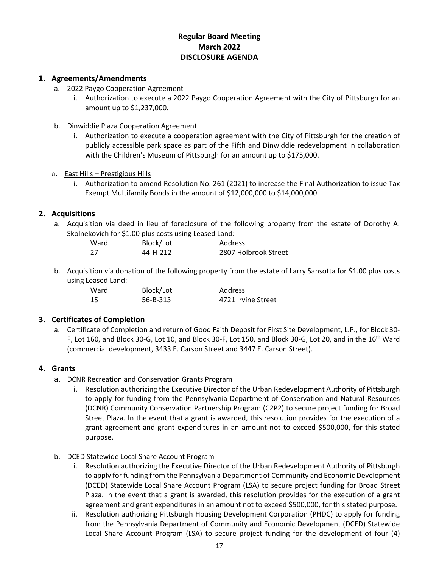## **Regular Board Meeting March 2022 DISCLOSURE AGENDA**

#### **1. Agreements/Amendments**

- a. 2022 Paygo Cooperation Agreement
	- i. Authorization to execute a 2022 Paygo Cooperation Agreement with the City of Pittsburgh for an amount up to \$1,237,000.
- b. Dinwiddie Plaza Cooperation Agreement
	- i. Authorization to execute a cooperation agreement with the City of Pittsburgh for the creation of publicly accessible park space as part of the Fifth and Dinwiddie redevelopment in collaboration with the Children's Museum of Pittsburgh for an amount up to \$175,000.
- a. East Hills Prestigious Hills
	- i. Authorization to amend Resolution No. 261 (2021) to increase the Final Authorization to issue Tax Exempt Multifamily Bonds in the amount of \$12,000,000 to \$14,000,000.

#### **2. Acquisitions**

a. Acquisition via deed in lieu of foreclosure of the following property from the estate of Dorothy A. Skolnekovich for \$1.00 plus costs using Leased Land:

| Ward | Block/Lot | Address              |
|------|-----------|----------------------|
| - 27 | 44-H-212  | 2807 Holbrook Street |

b. Acquisition via donation of the following property from the estate of Larry Sansotta for \$1.00 plus costs using Leased Land:

| Ward | Block/Lot | Address            |
|------|-----------|--------------------|
| -15  | 56-B-313  | 4721 Irvine Street |

### **3. Certificates of Completion**

a. Certificate of Completion and return of Good Faith Deposit for First Site Development, L.P., for Block 30- F, Lot 160, and Block 30-G, Lot 10, and Block 30-F, Lot 150, and Block 30-G, Lot 20, and in the 16<sup>th</sup> Ward (commercial development, 3433 E. Carson Street and 3447 E. Carson Street).

#### **4. Grants**

- a. DCNR Recreation and Conservation Grants Program
	- i. Resolution authorizing the Executive Director of the Urban Redevelopment Authority of Pittsburgh to apply for funding from the Pennsylvania Department of Conservation and Natural Resources (DCNR) Community Conservation Partnership Program (C2P2) to secure project funding for Broad Street Plaza. In the event that a grant is awarded, this resolution provides for the execution of a grant agreement and grant expenditures in an amount not to exceed \$500,000, for this stated purpose.

#### b. DCED Statewide Local Share Account Program

- i. Resolution authorizing the Executive Director of the Urban Redevelopment Authority of Pittsburgh to apply for funding from the Pennsylvania Department of Community and Economic Development (DCED) Statewide Local Share Account Program (LSA) to secure project funding for Broad Street Plaza. In the event that a grant is awarded, this resolution provides for the execution of a grant agreement and grant expenditures in an amount not to exceed \$500,000, for this stated purpose.
- ii. Resolution authorizing Pittsburgh Housing Development Corporation (PHDC) to apply for funding from the Pennsylvania Department of Community and Economic Development (DCED) Statewide Local Share Account Program (LSA) to secure project funding for the development of four (4)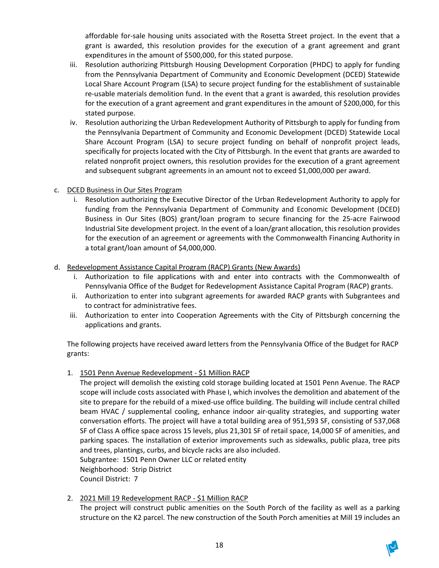affordable for-sale housing units associated with the Rosetta Street project. In the event that a grant is awarded, this resolution provides for the execution of a grant agreement and grant expenditures in the amount of \$500,000, for this stated purpose.

- iii. Resolution authorizing Pittsburgh Housing Development Corporation (PHDC) to apply for funding from the Pennsylvania Department of Community and Economic Development (DCED) Statewide Local Share Account Program (LSA) to secure project funding for the establishment of sustainable re-usable materials demolition fund. In the event that a grant is awarded, this resolution provides for the execution of a grant agreement and grant expenditures in the amount of \$200,000, for this stated purpose.
- iv. Resolution authorizing the Urban Redevelopment Authority of Pittsburgh to apply for funding from the Pennsylvania Department of Community and Economic Development (DCED) Statewide Local Share Account Program (LSA) to secure project funding on behalf of nonprofit project leads, specifically for projects located with the City of Pittsburgh. In the event that grants are awarded to related nonprofit project owners, this resolution provides for the execution of a grant agreement and subsequent subgrant agreements in an amount not to exceed \$1,000,000 per award.
- c. DCED Business in Our Sites Program
	- i. Resolution authorizing the Executive Director of the Urban Redevelopment Authority to apply for funding from the Pennsylvania Department of Community and Economic Development (DCED) Business in Our Sites (BOS) grant/loan program to secure financing for the 25-acre Fairwood Industrial Site development project. In the event of a loan/grant allocation, this resolution provides for the execution of an agreement or agreements with the Commonwealth Financing Authority in a total grant/loan amount of \$4,000,000.
- d. Redevelopment Assistance Capital Program (RACP) Grants (New Awards)
	- i. Authorization to file applications with and enter into contracts with the Commonwealth of Pennsylvania Office of the Budget for Redevelopment Assistance Capital Program (RACP) grants.
	- ii. Authorization to enter into subgrant agreements for awarded RACP grants with Subgrantees and to contract for administrative fees.
	- iii. Authorization to enter into Cooperation Agreements with the City of Pittsburgh concerning the applications and grants.

The following projects have received award letters from the Pennsylvania Office of the Budget for RACP grants:

1. 1501 Penn Avenue Redevelopment - \$1 Million RACP

The project will demolish the existing cold storage building located at 1501 Penn Avenue. The RACP scope will include costs associated with Phase I, which involves the demolition and abatement of the site to prepare for the rebuild of a mixed-use office building. The building will include central chilled beam HVAC / supplemental cooling, enhance indoor air-quality strategies, and supporting water conversation efforts. The project will have a total building area of 951,593 SF, consisting of 537,068 SF of Class A office space across 15 levels, plus 21,301 SF of retail space, 14,000 SF of amenities, and parking spaces. The installation of exterior improvements such as sidewalks, public plaza, tree pits and trees, plantings, curbs, and bicycle racks are also included. Subgrantee: 1501 Penn Owner LLC or related entity Neighborhood: Strip District

Council District: 7

2. 2021 Mill 19 Redevelopment RACP - \$1 Million RACP

The project will construct public amenities on the South Porch of the facility as well as a parking structure on the K2 parcel. The new construction of the South Porch amenities at Mill 19 includes an

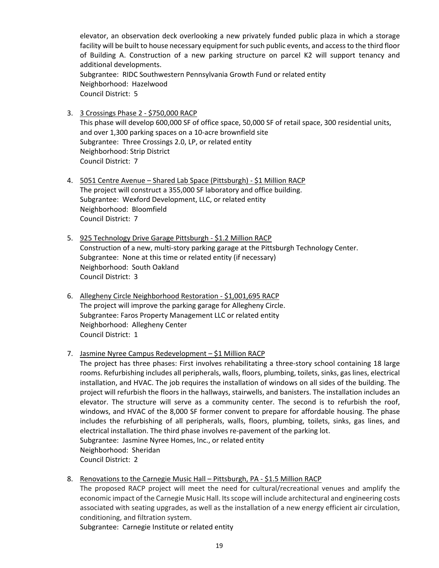elevator, an observation deck overlooking a new privately funded public plaza in which a storage facility will be built to house necessary equipment for such public events, and access to the third floor of Building A. Construction of a new parking structure on parcel K2 will support tenancy and additional developments. Subgrantee: RIDC Southwestern Pennsylvania Growth Fund or related entity Neighborhood: Hazelwood Council District: 5

- 3. 3 Crossings Phase 2 \$750,000 RACP This phase will develop 600,000 SF of office space, 50,000 SF of retail space, 300 residential units, and over 1,300 parking spaces on a 10-acre brownfield site Subgrantee: Three Crossings 2.0, LP, or related entity Neighborhood: Strip District Council District: 7
- 4. 5051 Centre Avenue Shared Lab Space (Pittsburgh) \$1 Million RACP The project will construct a 355,000 SF laboratory and office building. Subgrantee: Wexford Development, LLC, or related entity Neighborhood: Bloomfield Council District: 7
- 5. 925 Technology Drive Garage Pittsburgh \$1.2 Million RACP Construction of a new, multi-story parking garage at the Pittsburgh Technology Center. Subgrantee: None at this time or related entity (if necessary) Neighborhood: South Oakland Council District: 3
- 6. Allegheny Circle Neighborhood Restoration \$1,001,695 RACP The project will improve the parking garage for Allegheny Circle. Subgrantee: Faros Property Management LLC or related entity Neighborhood: Allegheny Center Council District: 1

#### 7. Jasmine Nyree Campus Redevelopment – \$1 Million RACP

The project has three phases: First involves rehabilitating a three-story school containing 18 large rooms. Refurbishing includes all peripherals, walls, floors, plumbing, toilets, sinks, gas lines, electrical installation, and HVAC. The job requires the installation of windows on all sides of the building. The project will refurbish the floors in the hallways, stairwells, and banisters. The installation includes an elevator. The structure will serve as a community center. The second is to refurbish the roof, windows, and HVAC of the 8,000 SF former convent to prepare for affordable housing. The phase includes the refurbishing of all peripherals, walls, floors, plumbing, toilets, sinks, gas lines, and electrical installation. The third phase involves re-pavement of the parking lot. Subgrantee: Jasmine Nyree Homes, Inc., or related entity Neighborhood: Sheridan Council District: 2

8. Renovations to the Carnegie Music Hall – Pittsburgh, PA - \$1.5 Million RACP

The proposed RACP project will meet the need for cultural/recreational venues and amplify the economic impact of the Carnegie Music Hall. Its scope will include architectural and engineering costs associated with seating upgrades, as well as the installation of a new energy efficient air circulation, conditioning, and filtration system.

Subgrantee: Carnegie Institute or related entity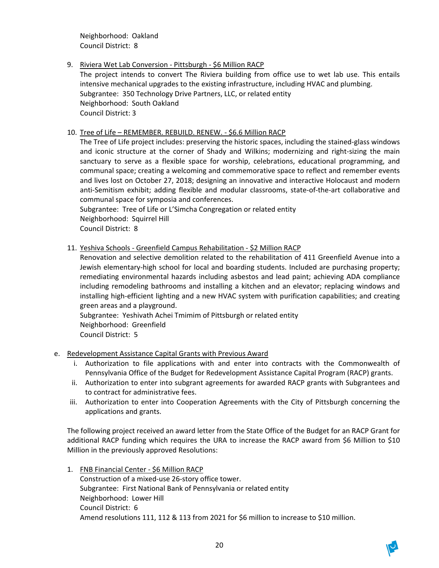Neighborhood: Oakland Council District: 8

9. Riviera Wet Lab Conversion - Pittsburgh - \$6 Million RACP The project intends to convert The Riviera building from office use to wet lab use. This entails intensive mechanical upgrades to the existing infrastructure, including HVAC and plumbing. Subgrantee: 350 Technology Drive Partners, LLC, or related entity Neighborhood: South Oakland Council District: 3

#### 10. Tree of Life – REMEMBER. REBUILD. RENEW. - \$6.6 Million RACP

The Tree of Life project includes: preserving the historic spaces, including the stained-glass windows and iconic structure at the corner of Shady and Wilkins; modernizing and right-sizing the main sanctuary to serve as a flexible space for worship, celebrations, educational programming, and communal space; creating a welcoming and commemorative space to reflect and remember events and lives lost on October 27, 2018; designing an innovative and interactive Holocaust and modern anti-Semitism exhibit; adding flexible and modular classrooms, state-of-the-art collaborative and communal space for symposia and conferences.

Subgrantee: Tree of Life or L'Simcha Congregation or related entity Neighborhood: Squirrel Hill Council District: 8

11. Yeshiva Schools - Greenfield Campus Rehabilitation - \$2 Million RACP

Renovation and selective demolition related to the rehabilitation of 411 Greenfield Avenue into a Jewish elementary-high school for local and boarding students. Included are purchasing property; remediating environmental hazards including asbestos and lead paint; achieving ADA compliance including remodeling bathrooms and installing a kitchen and an elevator; replacing windows and installing high-efficient lighting and a new HVAC system with purification capabilities; and creating green areas and a playground.

Subgrantee: Yeshivath Achei Tmimim of Pittsburgh or related entity Neighborhood: Greenfield Council District: 5

- e. Redevelopment Assistance Capital Grants with Previous Award
	- i. Authorization to file applications with and enter into contracts with the Commonwealth of Pennsylvania Office of the Budget for Redevelopment Assistance Capital Program (RACP) grants.
	- ii. Authorization to enter into subgrant agreements for awarded RACP grants with Subgrantees and to contract for administrative fees.
	- iii. Authorization to enter into Cooperation Agreements with the City of Pittsburgh concerning the applications and grants.

The following project received an award letter from the State Office of the Budget for an RACP Grant for additional RACP funding which requires the URA to increase the RACP award from \$6 Million to \$10 Million in the previously approved Resolutions:

1. FNB Financial Center - \$6 Million RACP Construction of a mixed-use 26-story office tower. Subgrantee: First National Bank of Pennsylvania or related entity Neighborhood: Lower Hill Council District: 6 Amend resolutions 111, 112 & 113 from 2021 for \$6 million to increase to \$10 million.

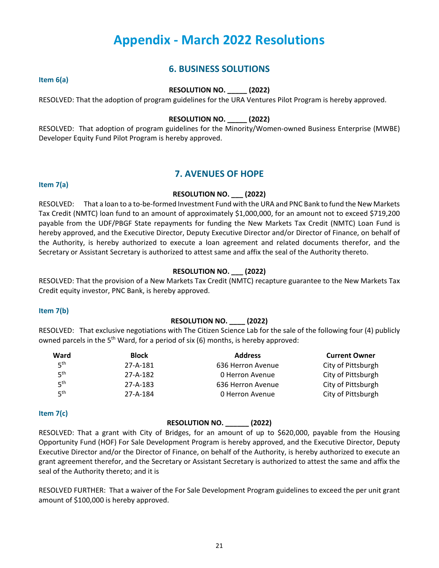## **Appendix - March 2022 Resolutions**

## **6. BUSINESS SOLUTIONS**

**Item 6(a)**

#### **RESOLUTION NO. \_\_\_\_\_ (2022)**

RESOLVED: That the adoption of program guidelines for the URA Ventures Pilot Program is hereby approved.

#### **RESOLUTION NO. \_\_\_\_\_ (2022)**

RESOLVED: That adoption of program guidelines for the Minority/Women-owned Business Enterprise (MWBE) Developer Equity Fund Pilot Program is hereby approved.

## **7. AVENUES OF HOPE**

#### **Item 7(a)**

#### **RESOLUTION NO. \_\_\_ (2022)**

RESOLVED: That a loan to a to-be-formed Investment Fund with the URA and PNC Bank to fund the New Markets Tax Credit (NMTC) loan fund to an amount of approximately \$1,000,000, for an amount not to exceed \$719,200 payable from the UDF/PBGF State repayments for funding the New Markets Tax Credit (NMTC) Loan Fund is hereby approved, and the Executive Director, Deputy Executive Director and/or Director of Finance, on behalf of the Authority, is hereby authorized to execute a loan agreement and related documents therefor, and the Secretary or Assistant Secretary is authorized to attest same and affix the seal of the Authority thereto.

#### **RESOLUTION NO. \_\_\_ (2022)**

RESOLVED: That the provision of a New Markets Tax Credit (NMTC) recapture guarantee to the New Markets Tax Credit equity investor, PNC Bank, is hereby approved.

#### **Item 7(b)**

#### **RESOLUTION NO. \_\_\_\_ (2022)**

RESOLVED: That exclusive negotiations with The Citizen Science Lab for the sale of the following four (4) publicly owned parcels in the  $5<sup>th</sup>$  Ward, for a period of six (6) months, is hereby approved:

| Ward            | <b>Block</b>   | <b>Address</b>    | <b>Current Owner</b> |
|-----------------|----------------|-------------------|----------------------|
| 5 <sup>th</sup> | 27-A-181       | 636 Herron Avenue | City of Pittsburgh   |
| 5 <sup>th</sup> | 27-A-182       | 0 Herron Avenue   | City of Pittsburgh   |
| 5 <sup>th</sup> | $27 - A - 183$ | 636 Herron Avenue | City of Pittsburgh   |
| 5 <sup>th</sup> | 27-A-184       | 0 Herron Avenue   | City of Pittsburgh   |

#### **Item 7(c)**

#### **RESOLUTION NO. \_\_\_\_\_\_ (2022)**

RESOLVED: That a grant with City of Bridges, for an amount of up to \$620,000, payable from the Housing Opportunity Fund (HOF) For Sale Development Program is hereby approved, and the Executive Director, Deputy Executive Director and/or the Director of Finance, on behalf of the Authority, is hereby authorized to execute an grant agreement therefor, and the Secretary or Assistant Secretary is authorized to attest the same and affix the seal of the Authority thereto; and it is

RESOLVED FURTHER: That a waiver of the For Sale Development Program guidelines to exceed the per unit grant amount of \$100,000 is hereby approved.